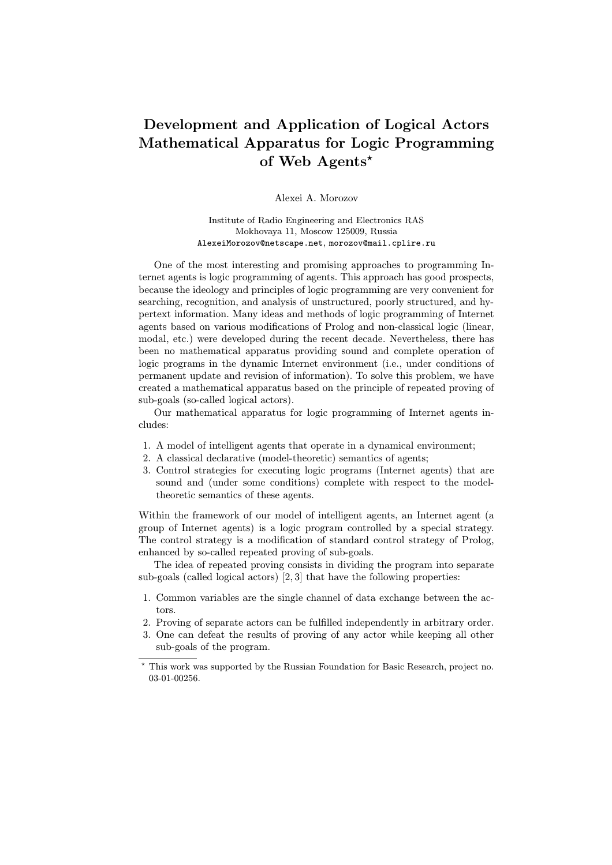## Development and Application of Logical Actors Mathematical Apparatus for Logic Programming of Web Agents\*

Alexei A. Morozov

Institute of Radio Engineering and Electronics RAS Mokhovaya 11, Moscow 125009, Russia AlexeiMorozov@netscape.net, morozov@mail.cplire.ru

One of the most interesting and promising approaches to programming Internet agents is logic programming of agents. This approach has good prospects, because the ideology and principles of logic programming are very convenient for searching, recognition, and analysis of unstructured, poorly structured, and hypertext information. Many ideas and methods of logic programming of Internet agents based on various modifications of Prolog and non-classical logic (linear, modal, etc.) were developed during the recent decade. Nevertheless, there has been no mathematical apparatus providing sound and complete operation of logic programs in the dynamic Internet environment (i.e., under conditions of permanent update and revision of information). To solve this problem, we have created a mathematical apparatus based on the principle of repeated proving of sub-goals (so-called logical actors).

Our mathematical apparatus for logic programming of Internet agents includes:

- 1. A model of intelligent agents that operate in a dynamical environment;
- 2. A classical declarative (model-theoretic) semantics of agents;
- 3. Control strategies for executing logic programs (Internet agents) that are sound and (under some conditions) complete with respect to the modeltheoretic semantics of these agents.

Within the framework of our model of intelligent agents, an Internet agent (a group of Internet agents) is a logic program controlled by a special strategy. The control strategy is a modification of standard control strategy of Prolog, enhanced by so-called repeated proving of sub-goals.

The idea of repeated proving consists in dividing the program into separate sub-goals (called logical actors) [2, 3] that have the following properties:

- 1. Common variables are the single channel of data exchange between the actors.
- 2. Proving of separate actors can be fulfilled independently in arbitrary order.
- 3. One can defeat the results of proving of any actor while keeping all other sub-goals of the program.

<sup>?</sup> This work was supported by the Russian Foundation for Basic Research, project no. 03-01-00256.